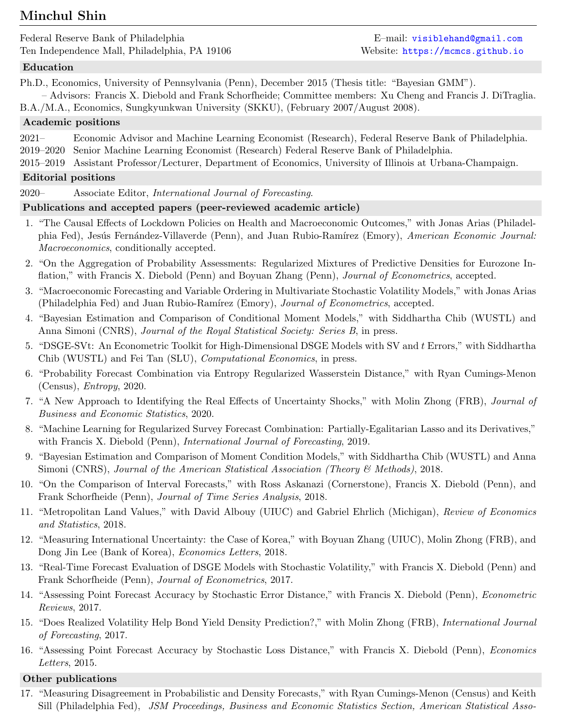# Minchul Shin

Federal Reserve Bank of Philadelphia E–mail: [visiblehand@gmail.com](mailto:visiblehand@gmail.com) Ten Independence Mall, Philadelphia, PA 19106 Website: <https://mcmcs.github.io>

## Education

Ph.D., Economics, University of Pennsylvania (Penn), December 2015 (Thesis title: "Bayesian GMM").

– Advisors: Francis X. Diebold and Frank Schorfheide; Committee members: Xu Cheng and Francis J. DiTraglia.

B.A./M.A., Economics, Sungkyunkwan University (SKKU), (February 2007/August 2008).

## Academic positions

2021– Economic Advisor and Machine Learning Economist (Research), Federal Reserve Bank of Philadelphia. 2019–2020 Senior Machine Learning Economist (Research) Federal Reserve Bank of Philadelphia.

2015–2019 Assistant Professor/Lecturer, Department of Economics, University of Illinois at Urbana-Champaign.

## Editorial positions

2020– Associate Editor, International Journal of Forecasting.

## Publications and accepted papers (peer-reviewed academic article)

- 1. "The Causal Effects of Lockdown Policies on Health and Macroeconomic Outcomes," with Jonas Arias (Philadelphia Fed), Jesús Fernández-Villaverde (Penn), and Juan Rubio-Ramírez (Emory), American Economic Journal: Macroeconomics, conditionally accepted.
- 2. "On the Aggregation of Probability Assessments: Regularized Mixtures of Predictive Densities for Eurozone Inflation," with Francis X. Diebold (Penn) and Boyuan Zhang (Penn), Journal of Econometrics, accepted.
- 3. "Macroeconomic Forecasting and Variable Ordering in Multivariate Stochastic Volatility Models," with Jonas Arias (Philadelphia Fed) and Juan Rubio-Ramírez (Emory), Journal of Econometrics, accepted.
- 4. "Bayesian Estimation and Comparison of Conditional Moment Models," with Siddhartha Chib (WUSTL) and Anna Simoni (CNRS), *Journal of the Royal Statistical Society: Series B*, in press.
- 5. "DSGE-SVt: An Econometric Toolkit for High-Dimensional DSGE Models with SV and t Errors," with Siddhartha Chib (WUSTL) and Fei Tan (SLU), Computational Economics, in press.
- 6. "Probability Forecast Combination via Entropy Regularized Wasserstein Distance," with Ryan Cumings-Menon (Census), Entropy, 2020.
- 7. "A New Approach to Identifying the Real Effects of Uncertainty Shocks," with Molin Zhong (FRB), Journal of Business and Economic Statistics, 2020.
- 8. "Machine Learning for Regularized Survey Forecast Combination: Partially-Egalitarian Lasso and its Derivatives," with Francis X. Diebold (Penn), *International Journal of Forecasting*, 2019.
- 9. "Bayesian Estimation and Comparison of Moment Condition Models," with Siddhartha Chib (WUSTL) and Anna Simoni (CNRS), Journal of the American Statistical Association (Theory & Methods), 2018.
- 10. "On the Comparison of Interval Forecasts," with Ross Askanazi (Cornerstone), Francis X. Diebold (Penn), and Frank Schorfheide (Penn), Journal of Time Series Analysis, 2018.
- 11. "Metropolitan Land Values," with David Albouy (UIUC) and Gabriel Ehrlich (Michigan), Review of Economics and Statistics, 2018.
- 12. "Measuring International Uncertainty: the Case of Korea," with Boyuan Zhang (UIUC), Molin Zhong (FRB), and Dong Jin Lee (Bank of Korea), *Economics Letters*, 2018.
- 13. "Real-Time Forecast Evaluation of DSGE Models with Stochastic Volatility," with Francis X. Diebold (Penn) and Frank Schorfheide (Penn), Journal of Econometrics, 2017.
- 14. "Assessing Point Forecast Accuracy by Stochastic Error Distance," with Francis X. Diebold (Penn), Econometric Reviews, 2017.
- 15. "Does Realized Volatility Help Bond Yield Density Prediction?," with Molin Zhong (FRB), International Journal of Forecasting, 2017.
- 16. "Assessing Point Forecast Accuracy by Stochastic Loss Distance," with Francis X. Diebold (Penn), Economics Letters, 2015.

### Other publications

17. "Measuring Disagreement in Probabilistic and Density Forecasts," with Ryan Cumings-Menon (Census) and Keith Sill (Philadelphia Fed), JSM Proceedings, Business and Economic Statistics Section, American Statistical Asso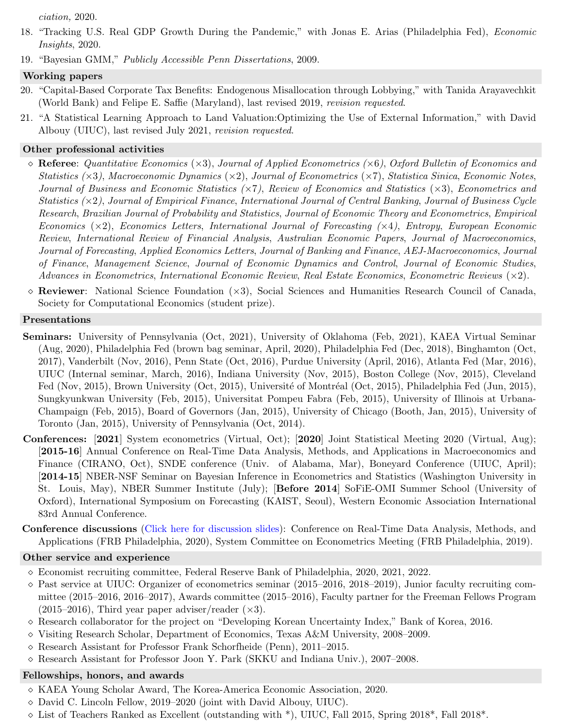ciation, 2020.

- 18. "Tracking U.S. Real GDP Growth During the Pandemic," with Jonas E. Arias (Philadelphia Fed), Economic Insights, 2020.
- 19. "Bayesian GMM," Publicly Accessible Penn Dissertations, 2009.

#### Working papers

- 20. "Capital-Based Corporate Tax Benefits: Endogenous Misallocation through Lobbying," with Tanida Arayavechkit (World Bank) and Felipe E. Saffie (Maryland), last revised 2019, revision requested.
- 21. "A Statistical Learning Approach to Land Valuation:Optimizing the Use of External Information," with David Albouy (UIUC), last revised July 2021, revision requested.

#### Other professional activities

- $\Diamond$  Referee: Quantitative Economics ( $\times 3$ ), Journal of Applied Econometrics ( $\times 6$ ), Oxford Bulletin of Economics and Statistics  $(\times 3)$ , Macroeconomic Dynamics  $(\times 2)$ , Journal of Econometrics  $(\times 7)$ , Statistica Sinica, Economic Notes, Journal of Business and Economic Statistics (×7), Review of Economics and Statistics (×3), Econometrics and Statistics  $(\times 2)$ , Journal of Empirical Finance, International Journal of Central Banking, Journal of Business Cycle Research, Brazilian Journal of Probability and Statistics, Journal of Economic Theory and Econometrics, Empirical Economics ( $\times$ 2), Economics Letters, International Journal of Forecasting ( $\times$ 4), Entropy, European Economic Review, International Review of Financial Analysis, Australian Economic Papers, Journal of Macroeconomics, Journal of Forecasting, Applied Economics Letters, Journal of Banking and Finance, AEJ-Macroeconomics, Journal of Finance, Management Science, Journal of Economic Dynamics and Control, Journal of Economic Studies, Advances in Econometrics, International Economic Review, Real Estate Economics, Econometric Reviews  $(\times 2)$ .
- $\diamond$  Reviewer: National Science Foundation  $(\times 3)$ , Social Sciences and Humanities Research Council of Canada, Society for Computational Economics (student prize).

#### Presentations

- Seminars: University of Pennsylvania (Oct, 2021), University of Oklahoma (Feb, 2021), KAEA Virtual Seminar (Aug, 2020), Philadelphia Fed (brown bag seminar, April, 2020), Philadelphia Fed (Dec, 2018), Binghamton (Oct, 2017), Vanderbilt (Nov, 2016), Penn State (Oct, 2016), Purdue University (April, 2016), Atlanta Fed (Mar, 2016), UIUC (Internal seminar, March, 2016), Indiana University (Nov, 2015), Boston College (Nov, 2015), Cleveland Fed (Nov, 2015), Brown University (Oct, 2015), Université of Montréal (Oct, 2015), Philadelphia Fed (Jun, 2015), Sungkyunkwan University (Feb, 2015), Universitat Pompeu Fabra (Feb, 2015), University of Illinois at Urbana-Champaign (Feb, 2015), Board of Governors (Jan, 2015), University of Chicago (Booth, Jan, 2015), University of Toronto (Jan, 2015), University of Pennsylvania (Oct, 2014).
- Conferences: [2021] System econometrics (Virtual, Oct); [2020] Joint Statistical Meeting 2020 (Virtual, Aug); [2015-16] Annual Conference on Real-Time Data Analysis, Methods, and Applications in Macroeconomics and Finance (CIRANO, Oct), SNDE conference (Univ. of Alabama, Mar), Boneyard Conference (UIUC, April); [2014-15] NBER-NSF Seminar on Bayesian Inference in Econometrics and Statistics (Washington University in St. Louis, May), NBER Summer Institute (July); [Before 2014] SoFiE-OMI Summer School (University of Oxford), International Symposium on Forecasting (KAIST, Seoul), Western Economic Association International 83rd Annual Conference.
- Conference discussions [\(Click here for discussion slides\)](https://mcmcs.github.io/discussions.html): Conference on Real-Time Data Analysis, Methods, and Applications (FRB Philadelphia, 2020), System Committee on Econometrics Meeting (FRB Philadelphia, 2019).

#### Other service and experience

- Economist recruiting committee, Federal Reserve Bank of Philadelphia, 2020, 2021, 2022.
- $\Diamond$  Past service at UIUC: Organizer of econometrics seminar (2015–2016, 2018–2019), Junior faculty recruiting committee (2015–2016, 2016–2017), Awards committee (2015–2016), Faculty partner for the Freeman Fellows Program  $(2015-2016)$ , Third year paper adviser/reader  $(\times 3)$ .
- Research collaborator for the project on "Developing Korean Uncertainty Index," Bank of Korea, 2016.
- $\Diamond$  Visiting Research Scholar, Department of Economics, Texas A&M University, 2008–2009.
- Research Assistant for Professor Frank Schorfheide (Penn), 2011–2015.
- Research Assistant for Professor Joon Y. Park (SKKU and Indiana Univ.), 2007–2008.

#### Fellowships, honors, and awards

- KAEA Young Scholar Award, The Korea-America Economic Association, 2020.
- David C. Lincoln Fellow, 2019–2020 (joint with David Albouy, UIUC).
- $\Diamond$  List of Teachers Ranked as Excellent (outstanding with  $*\,$ ), UIUC, Fall 2015, Spring 2018 $*\,$ , Fall 2018 $*\,$ .